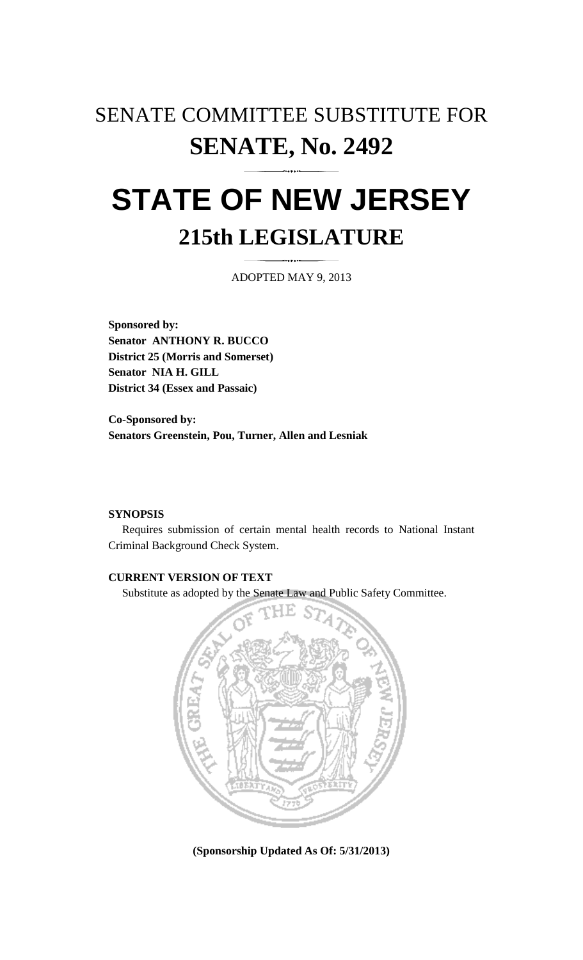## SENATE COMMITTEE SUBSTITUTE FOR **SENATE, No. 2492**

# **STATE OF NEW JERSEY 215th LEGISLATURE**

ADOPTED MAY 9, 2013

**Sponsored by: Senator ANTHONY R. BUCCO District 25 (Morris and Somerset) Senator NIA H. GILL District 34 (Essex and Passaic)** 

**Co-Sponsored by: Senators Greenstein, Pou, Turner, Allen and Lesniak** 

#### **SYNOPSIS**

 Requires submission of certain mental health records to National Instant Criminal Background Check System.

### **CURRENT VERSION OF TEXT**

Substitute as adopted by the Senate Law and Public Safety Committee.



**(Sponsorship Updated As Of: 5/31/2013)**